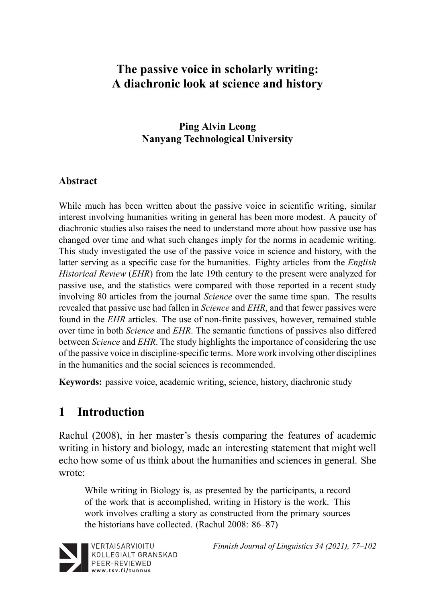# **The passive voice in scholarly writing: A diachronic look at science and history**

### **Ping Alvin Leong Nanyang Technological University**

### **Abstract**

While much has been written about the passive voice in scientific writing, similar interest involving humanities writing in general has been more modest. A paucity of diachronic studies also raises the need to understand more about how passive use has changed over time and what such changes imply for the norms in academic writing. This study investigated the use of the passive voice in science and history, with the latter serving as a specific case for the humanities. Eighty articles from the *English Historical Review* (*EHR*) from the late 19th century to the present were analyzed for passive use, and the statistics were compared with those reported in a recent study involving 80 articles from the journal *Science* over the same time span. The results revealed that passive use had fallen in *Science* and *EHR*, and that fewer passives were found in the *EHR* articles. The use of non-finite passives, however, remained stable over time in both *Science* and *EHR*. The semantic functions of passives also differed between *Science* and *EHR*. The study highlights the importance of considering the use of the passive voice in discipline-specific terms. More work involving other disciplines in the humanities and the social sciences is recommended.

**Keywords:** passive voice, academic writing, science, history, diachronic study

# **1 Introduction**

Rachul (2008), in her master's thesis comparing the features of academic writing in history and biology, made an interesting statement that might well echo how some of us think about the humanities and sciences in general. She wrote:

While writing in Biology is, as presented by the participants, a record of the work that is accomplished, writing in History is the work. This work involves crafting a story as constructed from the primary sources the historians have collected. (Rachul 2008: 86–87)



*Finnish Journal of Linguistics 34 (2021), 77–102*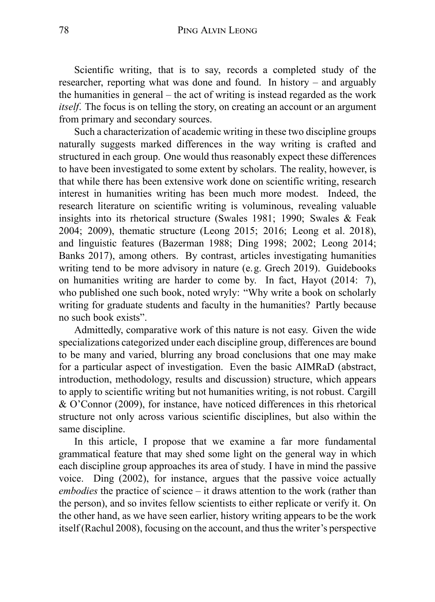Scientific writing, that is to say, records a completed study of the researcher, reporting what was done and found. In history – and arguably the humanities in general – the act of writing is instead regarded as the work *itself*. The focus is on telling the story, on creating an account or an argument from primary and secondary sources.

Such a characterization of academic writing in these two discipline groups naturally suggests marked differences in the way writing is crafted and structured in each group. One would thus reasonably expect these differences to have been investigated to some extent by scholars. The reality, however, is that while there has been extensive work done on scientific writing, research interest in humanities writing has been much more modest. Indeed, the research literature on scientific writing is voluminous, revealing valuable insights into its rhetorical structure (Swales 1981; 1990; Swales & Feak 2004; 2009), thematic structure (Leong 2015; 2016; Leong et al. 2018), and linguistic features (Bazerman 1988; Ding 1998; 2002; Leong 2014; Banks 2017), among others. By contrast, articles investigating humanities writing tend to be more advisory in nature (e.g. Grech 2019). Guidebooks on humanities writing are harder to come by. In fact, Hayot (2014: 7), who published one such book, noted wryly: "Why write a book on scholarly writing for graduate students and faculty in the humanities? Partly because no such book exists".

Admittedly, comparative work of this nature is not easy. Given the wide specializations categorized under each discipline group, differences are bound to be many and varied, blurring any broad conclusions that one may make for a particular aspect of investigation. Even the basic AIMRaD (abstract, introduction, methodology, results and discussion) structure, which appears to apply to scientific writing but not humanities writing, is not robust. Cargill & O'Connor (2009), for instance, have noticed differences in this rhetorical structure not only across various scientific disciplines, but also within the same discipline.

In this article, I propose that we examine a far more fundamental grammatical feature that may shed some light on the general way in which each discipline group approaches its area of study. I have in mind the passive voice. Ding (2002), for instance, argues that the passive voice actually *embodies* the practice of science – it draws attention to the work (rather than the person), and so invites fellow scientists to either replicate or verify it. On the other hand, as we have seen earlier, history writing appears to be the work itself (Rachul 2008), focusing on the account, and thus the writer's perspective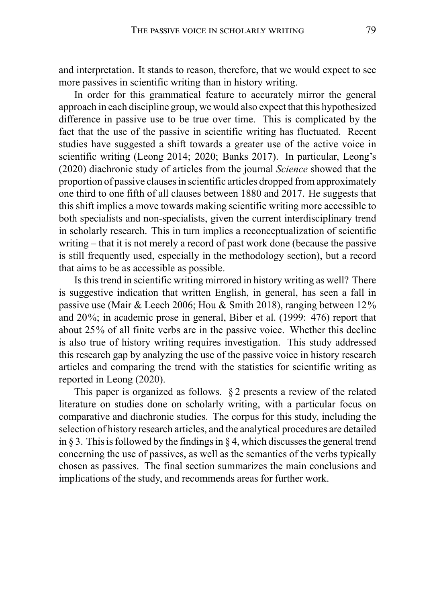and interpretation. It stands to reason, therefore, that we would expect to see more passives in scientific writing than in history writing.

In order for this grammatical feature to accurately mirror the general approach in each discipline group, we would also expect that this hypothesized difference in passive use to be true over time. This is complicated by the fact that the use of the passive in scientific writing has fluctuated. Recent studies have suggested a shift towards a greater use of the active voice in scientific writing (Leong 2014; 2020; Banks 2017). In particular, Leong's (2020) diachronic study of articles from the journal *Science* showed that the proportion of passive clauses in scientific articles dropped from approximately one third to one fifth of all clauses between 1880 and 2017. He suggests that this shift implies a move towards making scientific writing more accessible to both specialists and non-specialists, given the current interdisciplinary trend in scholarly research. This in turn implies a reconceptualization of scientific writing – that it is not merely a record of past work done (because the passive is still frequently used, especially in the methodology section), but a record that aims to be as accessible as possible.

Is this trend in scientific writing mirrored in history writing as well? There is suggestive indication that written English, in general, has seen a fall in passive use (Mair & Leech 2006; Hou & Smith 2018), ranging between 12% and 20%; in academic prose in general, Biber et al. (1999: 476) report that about 25% of all finite verbs are in the passive voice. Whether this decline is also true of history writing requires investigation. This study addressed this research gap by analyzing the use of the passive voice in history research articles and comparing the trend with the statistics for scientific writing as reported in Leong (2020).

This paper is organized as follows. § 2 presents a review of the related literature on studies done on scholarly writing, with a particular focus on comparative and diachronic studies. The corpus for this study, including the selection of history research articles, and the analytical procedures are detailed in § 3. This is followed by the findings in § 4, which discusses the general trend concerning the use of passives, as well as the semantics of the verbs typically chosen as passives. The final section summarizes the main conclusions and implications of the study, and recommends areas for further work.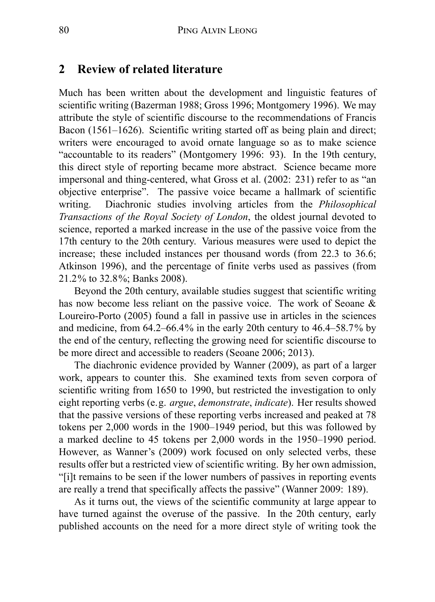### **2 Review of related literature**

Much has been written about the development and linguistic features of scientific writing (Bazerman 1988; Gross 1996; Montgomery 1996). We may attribute the style of scientific discourse to the recommendations of Francis Bacon (1561–1626). Scientific writing started off as being plain and direct; writers were encouraged to avoid ornate language so as to make science "accountable to its readers" (Montgomery 1996: 93). In the 19th century, this direct style of reporting became more abstract. Science became more impersonal and thing-centered, what Gross et al. (2002: 231) refer to as "an objective enterprise". The passive voice became a hallmark of scientific writing. Diachronic studies involving articles from the *Philosophical Transactions of the Royal Society of London*, the oldest journal devoted to science, reported a marked increase in the use of the passive voice from the 17th century to the 20th century. Various measures were used to depict the increase; these included instances per thousand words (from 22.3 to 36.6; Atkinson 1996), and the percentage of finite verbs used as passives (from 21.2% to 32.8%; Banks 2008).

Beyond the 20th century, available studies suggest that scientific writing has now become less reliant on the passive voice. The work of Seoane & Loureiro-Porto (2005) found a fall in passive use in articles in the sciences and medicine, from 64.2–66.4% in the early 20th century to 46.4–58.7% by the end of the century, reflecting the growing need for scientific discourse to be more direct and accessible to readers (Seoane 2006; 2013).

The diachronic evidence provided by Wanner (2009), as part of a larger work, appears to counter this. She examined texts from seven corpora of scientific writing from 1650 to 1990, but restricted the investigation to only eight reporting verbs (e.g. *argue*, *demonstrate*, *indicate*). Her results showed that the passive versions of these reporting verbs increased and peaked at 78 tokens per 2,000 words in the 1900–1949 period, but this was followed by a marked decline to 45 tokens per 2,000 words in the 1950–1990 period. However, as Wanner's (2009) work focused on only selected verbs, these results offer but a restricted view of scientific writing. By her own admission, "[i]t remains to be seen if the lower numbers of passives in reporting events are really a trend that specifically affects the passive" (Wanner 2009: 189).

As it turns out, the views of the scientific community at large appear to have turned against the overuse of the passive. In the 20th century, early published accounts on the need for a more direct style of writing took the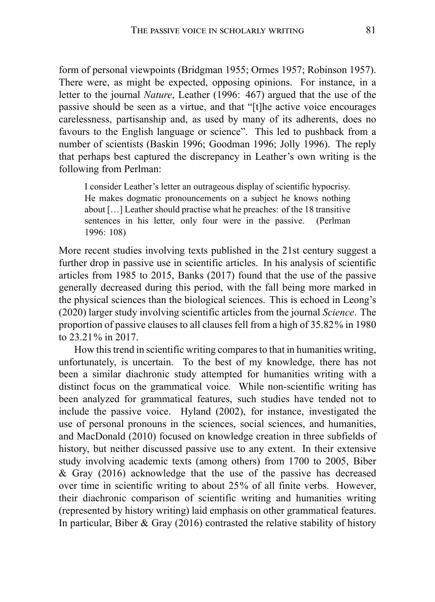form of personal viewpoints (Bridgman 1955; Ormes 1957; Robinson 1957). There were, as might be expected, opposing opinions. For instance, in a letter to the journal *Nature*, Leather (1996: 467) argued that the use of the passive should be seen as a virtue, and that "[t]he active voice encourages carelessness, partisanship and, as used by many of its adherents, does no favours to the English language or science". This led to pushback from a number of scientists (Baskin 1996; Goodman 1996; Jolly 1996). The reply that perhaps best captured the discrepancy in Leather's own writing is the following from Perlman:

I consider Leather's letter an outrageous display of scientific hypocrisy. He makes dogmatic pronouncements on a subject he knows nothing about […] Leather should practise what he preaches: of the 18 transitive sentences in his letter, only four were in the passive. (Perlman 1996: 108)

More recent studies involving texts published in the 21st century suggest a further drop in passive use in scientific articles. In his analysis of scientific articles from 1985 to 2015, Banks (2017) found that the use of the passive generally decreased during this period, with the fall being more marked in the physical sciences than the biological sciences. This is echoed in Leong's (2020) larger study involving scientific articles from the journal *Science*. The proportion of passive clauses to all clauses fell from a high of 35.82% in 1980 to 23.21% in 2017.

How this trend in scientific writing compares to that in humanities writing, unfortunately, is uncertain. To the best of my knowledge, there has not been a similar diachronic study attempted for humanities writing with a distinct focus on the grammatical voice. While non-scientific writing has been analyzed for grammatical features, such studies have tended not to include the passive voice. Hyland (2002), for instance, investigated the use of personal pronouns in the sciences, social sciences, and humanities, and MacDonald (2010) focused on knowledge creation in three subfields of history, but neither discussed passive use to any extent. In their extensive study involving academic texts (among others) from 1700 to 2005, Biber & Gray (2016) acknowledge that the use of the passive has decreased over time in scientific writing to about 25% of all finite verbs. However, their diachronic comparison of scientific writing and humanities writing (represented by history writing) laid emphasis on other grammatical features. In particular, Biber & Gray (2016) contrasted the relative stability of history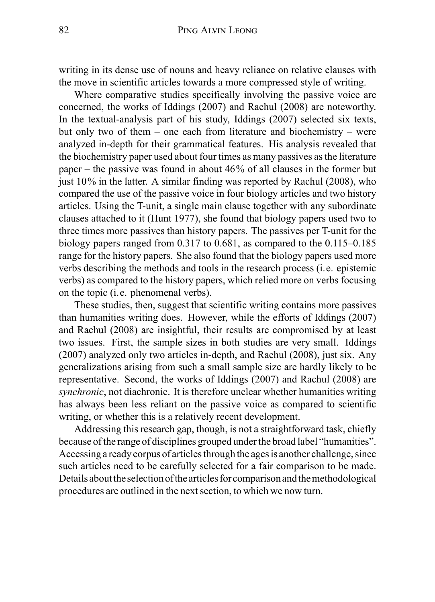writing in its dense use of nouns and heavy reliance on relative clauses with the move in scientific articles towards a more compressed style of writing.

Where comparative studies specifically involving the passive voice are concerned, the works of Iddings (2007) and Rachul (2008) are noteworthy. In the textual-analysis part of his study, Iddings (2007) selected six texts, but only two of them – one each from literature and biochemistry – were analyzed in-depth for their grammatical features. His analysis revealed that the biochemistry paper used about four times as many passives as the literature paper – the passive was found in about 46% of all clauses in the former but just  $10\%$  in the latter. A similar finding was reported by Rachul (2008), who compared the use of the passive voice in four biology articles and two history articles. Using the T-unit, a single main clause together with any subordinate clauses attached to it (Hunt 1977), she found that biology papers used two to three times more passives than history papers. The passives per T-unit for the biology papers ranged from 0.317 to 0.681, as compared to the 0.115–0.185 range for the history papers. She also found that the biology papers used more verbs describing the methods and tools in the research process (i.e. epistemic verbs) as compared to the history papers, which relied more on verbs focusing on the topic (i.e. phenomenal verbs).

These studies, then, suggest that scientific writing contains more passives than humanities writing does. However, while the efforts of Iddings (2007) and Rachul (2008) are insightful, their results are compromised by at least two issues. First, the sample sizes in both studies are very small. Iddings (2007) analyzed only two articles in-depth, and Rachul (2008), just six. Any generalizations arising from such a small sample size are hardly likely to be representative. Second, the works of Iddings (2007) and Rachul (2008) are *synchronic*, not diachronic. It is therefore unclear whether humanities writing has always been less reliant on the passive voice as compared to scientific writing, or whether this is a relatively recent development.

Addressing this research gap, though, is not a straightforward task, chiefly because of the range of disciplines grouped under the broad label "humanities". Accessing a ready corpus of articles through the ages is another challenge, since such articles need to be carefully selected for a fair comparison to be made. Details about the selection of the articles for comparison and the methodological procedures are outlined in the next section, to which we now turn.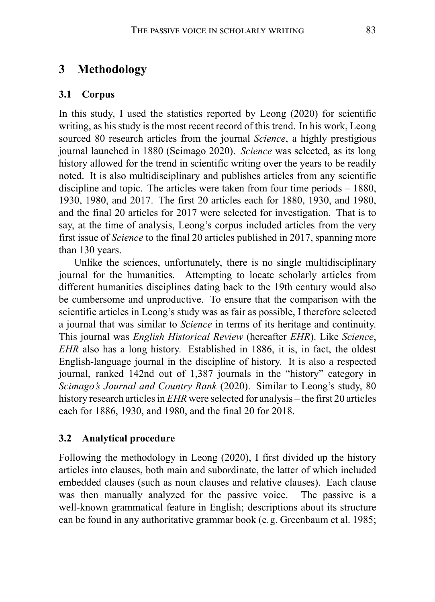## **3 Methodology**

#### **3.1 Corpus**

In this study, I used the statistics reported by Leong (2020) for scientific writing, as his study is the most recent record of this trend. In his work, Leong sourced 80 research articles from the journal *Science*, a highly prestigious journal launched in 1880 (Scimago 2020). *Science* was selected, as its long history allowed for the trend in scientific writing over the years to be readily noted. It is also multidisciplinary and publishes articles from any scientific discipline and topic. The articles were taken from four time periods – 1880, 1930, 1980, and 2017. The first 20 articles each for 1880, 1930, and 1980, and the final 20 articles for 2017 were selected for investigation. That is to say, at the time of analysis, Leong's corpus included articles from the very first issue of *Science* to the final 20 articles published in 2017, spanning more than 130 years.

Unlike the sciences, unfortunately, there is no single multidisciplinary journal for the humanities. Attempting to locate scholarly articles from different humanities disciplines dating back to the 19th century would also be cumbersome and unproductive. To ensure that the comparison with the scientific articles in Leong's study was as fair as possible, I therefore selected a journal that was similar to *Science* in terms of its heritage and continuity. This journal was *English Historical Review* (hereafter *EHR*). Like *Science*, *EHR* also has a long history. Established in 1886, it is, in fact, the oldest English-language journal in the discipline of history. It is also a respected journal, ranked 142nd out of 1,387 journals in the "history" category in *Scimago's Journal and Country Rank* (2020). Similar to Leong's study, 80 history research articles in *EHR* were selected for analysis – the first 20 articles each for 1886, 1930, and 1980, and the final 20 for 2018.

#### **3.2 Analytical procedure**

Following the methodology in Leong (2020), I first divided up the history articles into clauses, both main and subordinate, the latter of which included embedded clauses (such as noun clauses and relative clauses). Each clause was then manually analyzed for the passive voice. The passive is a well-known grammatical feature in English; descriptions about its structure can be found in any authoritative grammar book (e.g. Greenbaum et al. 1985;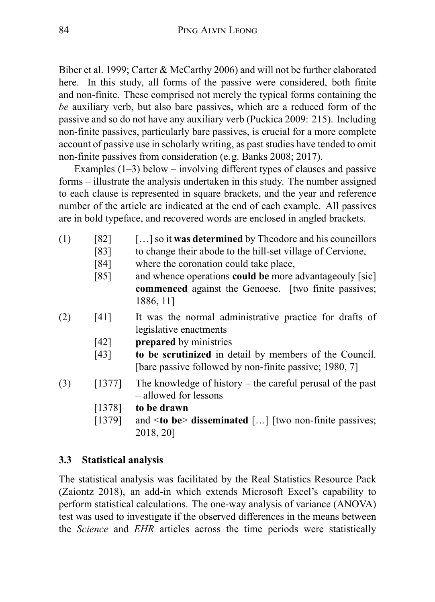Biber et al. 1999; Carter & McCarthy 2006) and will not be further elaborated here. In this study, all forms of the passive were considered, both finite and non-finite. These comprised not merely the typical forms containing the *be* auxiliary verb, but also bare passives, which are a reduced form of the passive and so do not have any auxiliary verb (Puckica 2009: 215). Including non-finite passives, particularly bare passives, is crucial for a more complete account of passive use in scholarly writing, as past studies have tended to omit non-finite passives from consideration (e.g. Banks 2008; 2017).

Examples (1–3) below – involving different types of clauses and passive forms – illustrate the analysis undertaken in this study. The number assigned to each clause is represented in square brackets, and the year and reference number of the article are indicated at the end of each example. All passives are in bold typeface, and recovered words are enclosed in angled brackets.

- (1) [82] […] so it **was determined** by Theodore and his councillors
	- [83] to change their abode to the hill-set village of Cervione,
	- [84] where the coronation could take place,
	- [85] and whence operations **could be** more advantageouly [sic] **commenced** against the Genoese. [two finite passives; 1886, 11]
- (2) [41] It was the normal administrative practice for drafts of legislative enactments
	- [42] **prepared** by ministries
	- [43] **to be scrutinized** in detail by members of the Council. [bare passive followed by non-finite passive; 1980, 7]
- $(3)$  [1377] The knowledge of history the careful perusal of the past – allowed for lessons
	- [1378] **to be drawn**
	- [1379] and <**to be**> **disseminated** […] [two non-finite passives; 2018, 20]

### **3.3 Statistical analysis**

The statistical analysis was facilitated by the Real Statistics Resource Pack (Zaiontz 2018), an add-in which extends Microsoft Excel's capability to perform statistical calculations. The one-way analysis of variance (ANOVA) test was used to investigate if the observed differences in the means between the *Science* and *EHR* articles across the time periods were statistically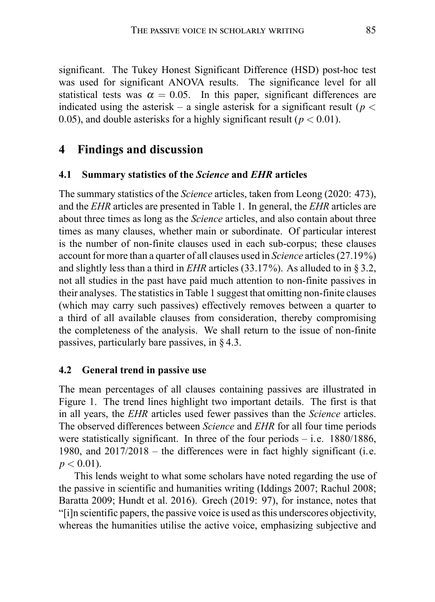significant. The Tukey Honest Significant Difference (HSD) post-hoc test was used for significant ANOVA results. The significance level for all statistical tests was  $\alpha = 0.05$ . In this paper, significant differences are indicated using the asterisk – a single asterisk for a significant result (*p <* 0.05), and double asterisks for a highly significant result ( $p < 0.01$ ).

## **4 Findings and discussion**

#### **4.1 Summary statistics of the** *Science* **and** *EHR* **articles**

The summary statistics of the *Science* articles, taken from Leong (2020: 473), and the *EHR* articles are presented in Table 1. In general, the *EHR* articles are about three times as long as the *Science* articles, and also contain about three times as many clauses, whether main or subordinate. Of particular interest is the number of non-finite clauses used in each sub-corpus; these clauses account for more than a quarter of all clauses used in *Science* articles (27.19%) and slightly less than a third in *EHR* articles (33.17%). As alluded to in § 3.2, not all studies in the past have paid much attention to non-finite passives in their analyses. The statistics in Table 1 suggest that omitting non-finite clauses (which may carry such passives) effectively removes between a quarter to a third of all available clauses from consideration, thereby compromising the completeness of the analysis. We shall return to the issue of non-finite passives, particularly bare passives, in § 4.3.

#### **4.2 General trend in passive use**

The mean percentages of all clauses containing passives are illustrated in Figure 1. The trend lines highlight two important details. The first is that in all years, the *EHR* articles used fewer passives than the *Science* articles. The observed differences between *Science* and *EHR* for all four time periods were statistically significant. In three of the four periods  $-$  i.e. 1880/1886, 1980, and 2017/2018 – the differences were in fact highly significant (i.e.  $p < 0.01$ ).

This lends weight to what some scholars have noted regarding the use of the passive in scientific and humanities writing (Iddings 2007; Rachul 2008; Baratta 2009; Hundt et al. 2016). Grech (2019: 97), for instance, notes that "[i]n scientific papers, the passive voice is used as this underscores objectivity, whereas the humanities utilise the active voice, emphasizing subjective and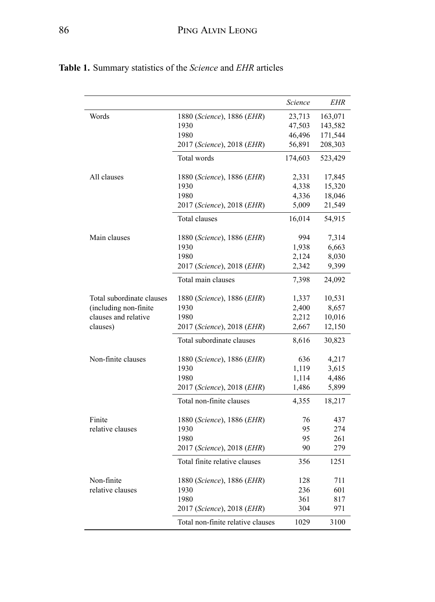|                           |                                   | Science | EHR     |
|---------------------------|-----------------------------------|---------|---------|
| Words                     | 1880 (Science), 1886 (EHR)        | 23,713  | 163,071 |
|                           | 1930                              | 47,503  | 143,582 |
|                           | 1980                              | 46,496  | 171,544 |
|                           | 2017 (Science), 2018 (EHR)        | 56,891  | 208,303 |
|                           | Total words                       | 174,603 | 523,429 |
| All clauses               | 1880 (Science), 1886 (EHR)        | 2,331   | 17,845  |
|                           | 1930                              | 4,338   | 15,320  |
|                           | 1980                              | 4,336   | 18,046  |
|                           | 2017 (Science), 2018 (EHR)        | 5,009   | 21,549  |
|                           | <b>Total clauses</b>              | 16,014  | 54,915  |
| Main clauses              | 1880 (Science), 1886 (EHR)        | 994     | 7,314   |
|                           | 1930                              | 1,938   | 6,663   |
|                           | 1980                              | 2,124   | 8,030   |
|                           | 2017 (Science), 2018 (EHR)        | 2,342   | 9,399   |
|                           | Total main clauses                | 7,398   | 24,092  |
| Total subordinate clauses | 1880 (Science), 1886 (EHR)        | 1,337   | 10,531  |
| (including non-finite)    | 1930                              | 2,400   | 8,657   |
| clauses and relative      | 1980                              | 2,212   | 10,016  |
| clauses)                  | 2017 (Science), 2018 (EHR)        | 2,667   | 12,150  |
|                           | Total subordinate clauses         | 8,616   | 30,823  |
| Non-finite clauses        | 1880 (Science), 1886 (EHR)        | 636     | 4,217   |
|                           | 1930                              | 1,119   | 3,615   |
|                           | 1980                              | 1,114   | 4,486   |
|                           | 2017 (Science), 2018 (EHR)        | 1,486   | 5,899   |
|                           | Total non-finite clauses          | 4,355   | 18,217  |
| Finite                    | 1880 (Science), 1886 (EHR)        | 76      | 437     |
| relative clauses          | 1930                              | 95      | 274     |
|                           | 1980                              | 95      | 261     |
|                           | 2017 (Science), 2018 (EHR)        | 90      | 279     |
|                           | Total finite relative clauses     | 356     | 1251    |
| Non-finite                | 1880 (Science), 1886 (EHR)        | 128     | 711     |
| relative clauses          | 1930                              | 236     | 601     |
|                           | 1980                              | 361     | 817     |
|                           | 2017 (Science), 2018 (EHR)        | 304     | 971     |
|                           | Total non-finite relative clauses | 1029    | 3100    |

**Table 1.** Summary statistics of the *Science* and *EHR* articles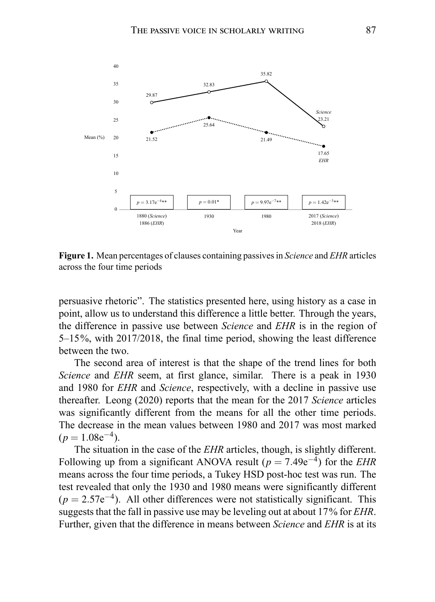

**Figure 1.** Mean percentages of clauses containing passives in *Science* and *EHR* articles across the four time periods

persuasive rhetoric". The statistics presented here, using history as a case in point, allow us to understand this difference a little better. Through the years, the difference in passive use between *Science* and *EHR* is in the region of 5–15%, with 2017/2018, the final time period, showing the least difference between the two.

The second area of interest is that the shape of the trend lines for both *Science* and *EHR* seem, at first glance, similar. There is a peak in 1930 and 1980 for *EHR* and *Science*, respectively, with a decline in passive use thereafter. Leong (2020) reports that the mean for the 2017 *Science* articles was significantly different from the means for all the other time periods. The decrease in the mean values between 1980 and 2017 was most marked  $(p = 1.08e^{-4}).$ 

The situation in the case of the *EHR* articles, though, is slightly different. Following up from a significant ANOVA result  $(p = 7.49e^{-4})$  for the *EHR* means across the four time periods, a Tukey HSD post-hoc test was run. The test revealed that only the 1930 and 1980 means were significantly different  $(p = 2.57e^{-4})$ . All other differences were not statistically significant. This suggests that the fall in passive use may be leveling out at about 17% for *EHR*. Further, given that the difference in means between *Science* and *EHR* is at its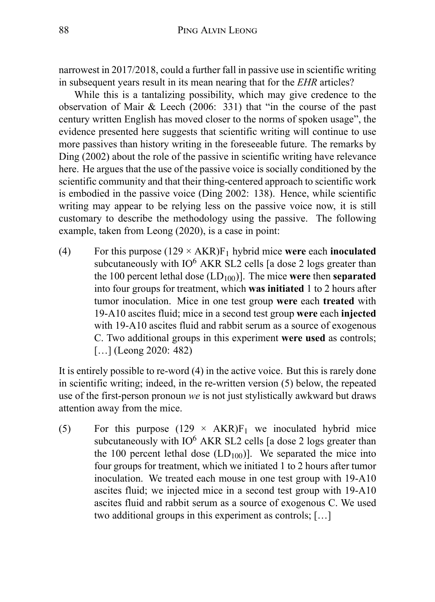narrowest in 2017/2018, could a further fall in passive use in scientific writing in subsequent years result in its mean nearing that for the *EHR* articles?

While this is a tantalizing possibility, which may give credence to the observation of Mair & Leech (2006: 331) that "in the course of the past century written English has moved closer to the norms of spoken usage", the evidence presented here suggests that scientific writing will continue to use more passives than history writing in the foreseeable future. The remarks by Ding (2002) about the role of the passive in scientific writing have relevance here. He argues that the use of the passive voice is socially conditioned by the scientific community and that their thing-centered approach to scientific work is embodied in the passive voice (Ding 2002: 138). Hence, while scientific writing may appear to be relying less on the passive voice now, it is still customary to describe the methodology using the passive. The following example, taken from Leong (2020), is a case in point:

(4) For this purpose  $(129 \times AKR)F_1$  hybrid mice were each **inoculated** subcutaneously with  $IO<sup>6</sup> AKR SL2$  cells [a dose 2 logs greater than the 100 percent lethal dose  $(LD_{100})$ . The mice **were** then **separated** into four groups for treatment, which **was initiated** 1 to 2 hours after tumor inoculation. Mice in one test group **were** each **treated** with 19-A10 ascites fluid; mice in a second test group **were** each **injected** with 19-A10 ascites fluid and rabbit serum as a source of exogenous C. Two additional groups in this experiment **were used** as controls; [...] (Leong 2020: 482)

It is entirely possible to re-word (4) in the active voice. But this is rarely done in scientific writing; indeed, in the re-written version (5) below, the repeated use of the first-person pronoun *we* is not just stylistically awkward but draws attention away from the mice.

(5) For this purpose  $(129 \times AKR)F_1$  we inoculated hybrid mice subcutaneously with  $IO<sup>6</sup> AKR SL2$  cells [a dose 2 logs greater than the 100 percent lethal dose  $(LD_{100})$ . We separated the mice into four groups for treatment, which we initiated 1 to 2 hours after tumor inoculation. We treated each mouse in one test group with 19-A10 ascites fluid; we injected mice in a second test group with 19-A10 ascites fluid and rabbit serum as a source of exogenous C. We used two additional groups in this experiment as controls; […]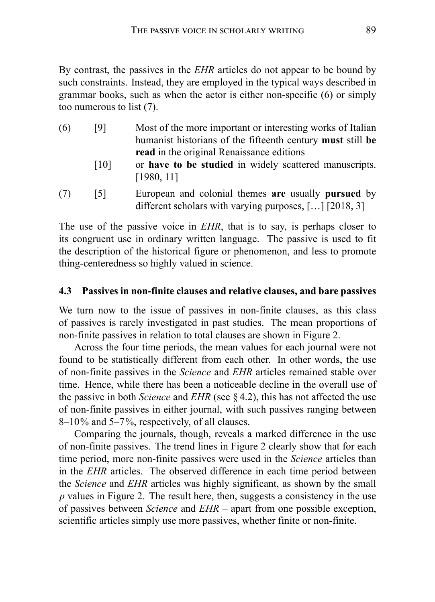By contrast, the passives in the *EHR* articles do not appear to be bound by such constraints. Instead, they are employed in the typical ways described in grammar books, such as when the actor is either non-specific (6) or simply too numerous to list (7).

- (6) [9] Most of the more important or interesting works of Italian humanist historians of the fifteenth century **must** still **be read** in the original Renaissance editions [10] or **have to be studied** in widely scattered manuscripts. [1980, 11]
- (7) [5] European and colonial themes **are** usually **pursued** by different scholars with varying purposes, […] [2018, 3]

The use of the passive voice in *EHR*, that is to say, is perhaps closer to its congruent use in ordinary written language. The passive is used to fit the description of the historical figure or phenomenon, and less to promote thing-centeredness so highly valued in science.

### **4.3 Passives in non-finite clauses and relative clauses, and bare passives**

We turn now to the issue of passives in non-finite clauses, as this class of passives is rarely investigated in past studies. The mean proportions of non-finite passives in relation to total clauses are shown in Figure 2.

Across the four time periods, the mean values for each journal were not found to be statistically different from each other. In other words, the use of non-finite passives in the *Science* and *EHR* articles remained stable over time. Hence, while there has been a noticeable decline in the overall use of the passive in both *Science* and *EHR* (see § 4.2), this has not affected the use of non-finite passives in either journal, with such passives ranging between 8–10% and 5–7%, respectively, of all clauses.

Comparing the journals, though, reveals a marked difference in the use of non-finite passives. The trend lines in Figure 2 clearly show that for each time period, more non-finite passives were used in the *Science* articles than in the *EHR* articles. The observed difference in each time period between the *Science* and *EHR* articles was highly significant, as shown by the small *p* values in Figure 2. The result here, then, suggests a consistency in the use of passives between *Science* and *EHR* – apart from one possible exception, scientific articles simply use more passives, whether finite or non-finite.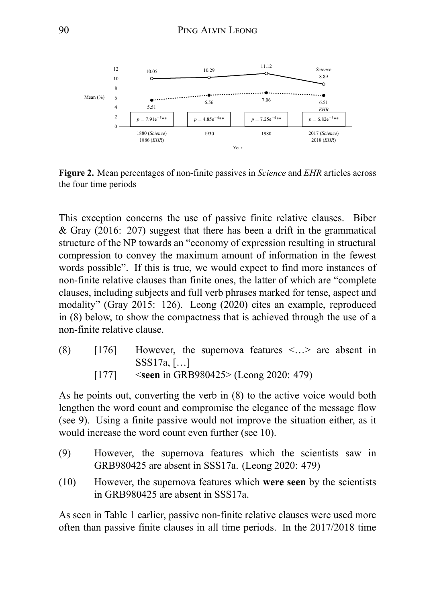

**Figure 2.** Mean percentages of non-finite passives in *Science* and *EHR* articles across the four time periods

This exception concerns the use of passive finite relative clauses. Biber & Gray (2016: 207) suggest that there has been a drift in the grammatical structure of the NP towards an "economy of expression resulting in structural compression to convey the maximum amount of information in the fewest words possible". If this is true, we would expect to find more instances of non-finite relative clauses than finite ones, the latter of which are "complete clauses, including subjects and full verb phrases marked for tense, aspect and modality" (Gray 2015: 126). Leong (2020) cites an example, reproduced in (8) below, to show the compactness that is achieved through the use of a non-finite relative clause.

(8) [176] However, the supernova features <…> are absent in SSS17a, […] [177] <**seen** in GRB980425> (Leong 2020: 479)

As he points out, converting the verb in (8) to the active voice would both lengthen the word count and compromise the elegance of the message flow (see 9). Using a finite passive would not improve the situation either, as it would increase the word count even further (see 10).

- (9) However, the supernova features which the scientists saw in GRB980425 are absent in SSS17a. (Leong 2020: 479)
- (10) However, the supernova features which **were seen** by the scientists in GRB980425 are absent in SSS17a.

As seen in Table 1 earlier, passive non-finite relative clauses were used more often than passive finite clauses in all time periods. In the 2017/2018 time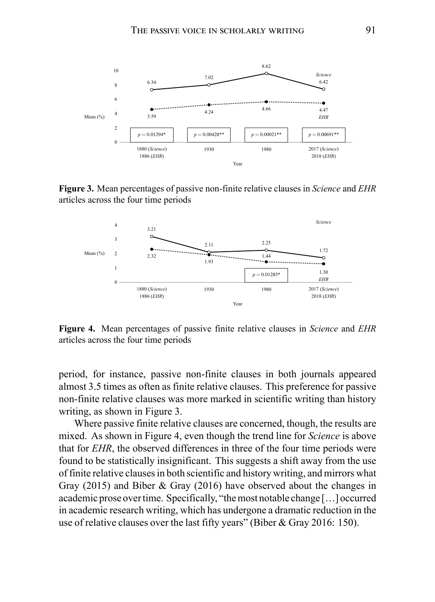

**Figure 3.** Mean percentages of passive non-finite relative clauses in *Science* and *EHR* articles across the four time periods



**Figure 4.** Mean percentages of passive finite relative clauses in *Science* and *EHR* articles across the four time periods

period, for instance, passive non-finite clauses in both journals appeared almost 3.5 times as often as finite relative clauses. This preference for passive non-finite relative clauses was more marked in scientific writing than history writing, as shown in Figure 3.

Where passive finite relative clauses are concerned, though, the results are mixed. As shown in Figure 4, even though the trend line for *Science* is above that for *EHR*, the observed differences in three of the four time periods were found to be statistically insignificant. This suggests a shift away from the use of finite relative clauses in both scientific and history writing, and mirrors what Gray (2015) and Biber & Gray (2016) have observed about the changes in academic prose overtime. Specifically, "the most notable change […] occurred in academic research writing, which has undergone a dramatic reduction in the use of relative clauses over the last fifty years" (Biber & Gray 2016: 150).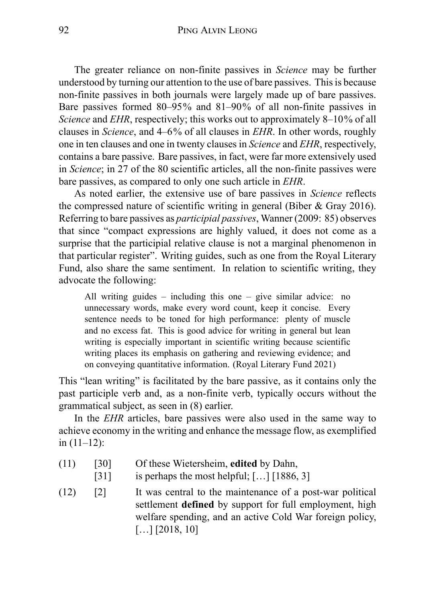The greater reliance on non-finite passives in *Science* may be further understood by turning our attention to the use of bare passives. This is because non-finite passives in both journals were largely made up of bare passives. Bare passives formed 80–95% and 81–90% of all non-finite passives in *Science* and *EHR*, respectively; this works out to approximately 8–10% of all clauses in *Science*, and 4–6% of all clauses in *EHR*. In other words, roughly one in ten clauses and one in twenty clauses in *Science* and *EHR*, respectively, contains a bare passive. Bare passives, in fact, were far more extensively used in *Science*; in 27 of the 80 scientific articles, all the non-finite passives were bare passives, as compared to only one such article in *EHR*.

As noted earlier, the extensive use of bare passives in *Science* reflects the compressed nature of scientific writing in general (Biber & Gray 2016). Referring to bare passives as *participial passives*, Wanner (2009: 85) observes that since "compact expressions are highly valued, it does not come as a surprise that the participial relative clause is not a marginal phenomenon in that particular register". Writing guides, such as one from the Royal Literary Fund, also share the same sentiment. In relation to scientific writing, they advocate the following:

All writing guides – including this one – give similar advice: no unnecessary words, make every word count, keep it concise. Every sentence needs to be toned for high performance: plenty of muscle and no excess fat. This is good advice for writing in general but lean writing is especially important in scientific writing because scientific writing places its emphasis on gathering and reviewing evidence; and on conveying quantitative information. (Royal Literary Fund 2021)

This "lean writing" is facilitated by the bare passive, as it contains only the past participle verb and, as a non-finite verb, typically occurs without the grammatical subject, as seen in (8) earlier.

In the *EHR* articles, bare passives were also used in the same way to achieve economy in the writing and enhance the message flow, as exemplified in (11–12):

- (11) [30] Of these Wietersheim, **edited** by Dahn,
	- [31] is perhaps the most helpful; [...] [1886, 3]
- $(12)$  [2] It was central to the maintenance of a post-war political settlement **defined** by support for full employment, high welfare spending, and an active Cold War foreign policy,  $[...]$  [2018, 10]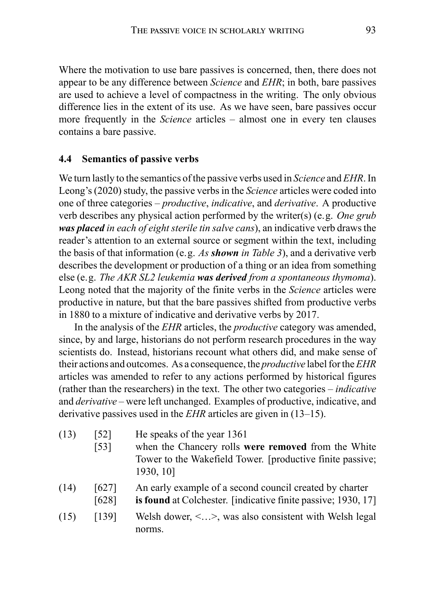Where the motivation to use bare passives is concerned, then, there does not appear to be any difference between *Science* and *EHR*; in both, bare passives are used to achieve a level of compactness in the writing. The only obvious difference lies in the extent of its use. As we have seen, bare passives occur more frequently in the *Science* articles – almost one in every ten clauses contains a bare passive.

#### **4.4 Semantics of passive verbs**

We turn lastly to the semantics of the passive verbs used in *Science* and *EHR*. In Leong's (2020) study, the passive verbs in the *Science* articles were coded into one of three categories – *productive*, *indicative*, and *derivative*. A productive verb describes any physical action performed by the writer(s) (e.g. *One grub was placed in each of eight sterile tin salve cans*), an indicative verb draws the reader's attention to an external source or segment within the text, including the basis of that information (e.g. *As shown in Table 3*), and a derivative verb describes the development or production of a thing or an idea from something else (e.g. *The AKR SL2 leukemia was derived from a spontaneous thymoma*). Leong noted that the majority of the finite verbs in the *Science* articles were productive in nature, but that the bare passives shifted from productive verbs in 1880 to a mixture of indicative and derivative verbs by 2017.

In the analysis of the *EHR* articles, the *productive* category was amended, since, by and large, historians do not perform research procedures in the way scientists do. Instead, historians recount what others did, and make sense of their actions and outcomes. As a consequence, the *productive* label for the*EHR* articles was amended to refer to any actions performed by historical figures (rather than the researchers) in the text. The other two categories – *indicative* and *derivative* – were left unchanged. Examples of productive, indicative, and derivative passives used in the *EHR* articles are given in (13–15).

- $(13)$  [52] He speaks of the year 1361
	- [53] when the Chancery rolls **were removed** from the White Tower to the Wakefield Tower. [productive finite passive; 1930, 10]
- $(14)$  [627] An early example of a second council created by charter [628] **is found** at Colchester. [indicative finite passive; 1930, 17]
- (15)  $[139]$  Welsh dower,  $\lt...$ , was also consistent with Welsh legal norms.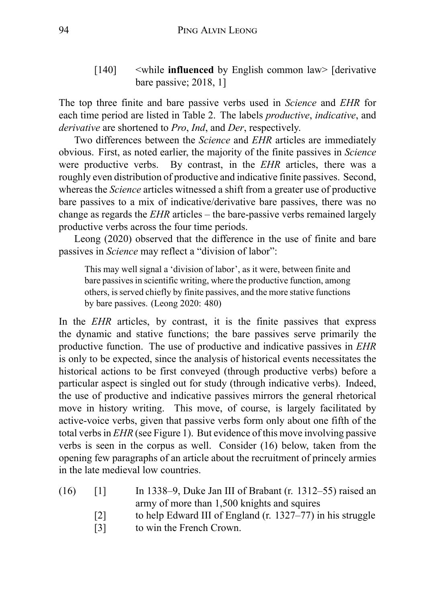[140] <while **influenced** by English common law> [derivative bare passive; 2018, 1]

The top three finite and bare passive verbs used in *Science* and *EHR* for each time period are listed in Table 2. The labels *productive*, *indicative*, and *derivative* are shortened to *Pro*, *Ind*, and *Der*, respectively.

Two differences between the *Science* and *EHR* articles are immediately obvious. First, as noted earlier, the majority of the finite passives in *Science* were productive verbs. By contrast, in the *EHR* articles, there was a roughly even distribution of productive and indicative finite passives. Second, whereas the *Science* articles witnessed a shift from a greater use of productive bare passives to a mix of indicative/derivative bare passives, there was no change as regards the *EHR* articles – the bare-passive verbs remained largely productive verbs across the four time periods.

Leong (2020) observed that the difference in the use of finite and bare passives in *Science* may reflect a "division of labor":

This may well signal a 'division of labor', as it were, between finite and bare passives in scientific writing, where the productive function, among others, is served chiefly by finite passives, and the more stative functions by bare passives. (Leong 2020: 480)

In the *EHR* articles, by contrast, it is the finite passives that express the dynamic and stative functions; the bare passives serve primarily the productive function. The use of productive and indicative passives in *EHR* is only to be expected, since the analysis of historical events necessitates the historical actions to be first conveyed (through productive verbs) before a particular aspect is singled out for study (through indicative verbs). Indeed, the use of productive and indicative passives mirrors the general rhetorical move in history writing. This move, of course, is largely facilitated by active-voice verbs, given that passive verbs form only about one fifth of the total verbs in *EHR* (see Figure 1). But evidence of this move involving passive verbs is seen in the corpus as well. Consider (16) below, taken from the opening few paragraphs of an article about the recruitment of princely armies in the late medieval low countries.

- (16) [1] In 1338–9, Duke Jan III of Brabant (r. 1312–55) raised an army of more than 1,500 knights and squires
	- [2] to help Edward III of England (r. 1327–77) in his struggle
	- [3] to win the French Crown.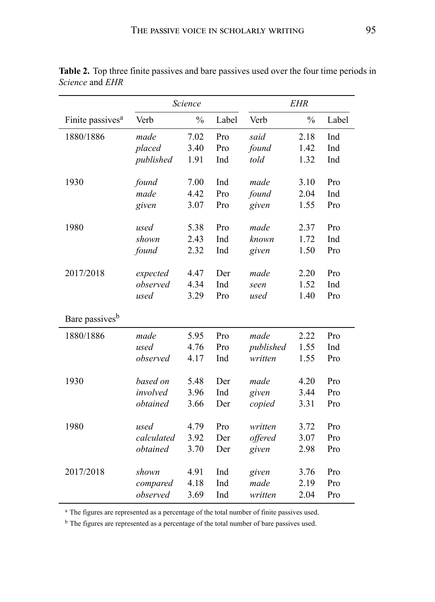|                              | Science    |               |       | <b>EHR</b> |               |       |
|------------------------------|------------|---------------|-------|------------|---------------|-------|
| Finite passives <sup>a</sup> | Verb       | $\frac{0}{0}$ | Label | Verb       | $\frac{0}{0}$ | Label |
| 1880/1886                    | made       | 7.02          | Pro   | said       | 2.18          | Ind   |
|                              | placed     | 3.40          | Pro   | found      | 1.42          | Ind   |
|                              | published  | 1.91          | Ind   | told       | 1.32          | Ind   |
|                              |            |               |       |            |               |       |
| 1930                         | found      | 7.00          | Ind   | made       | 3.10          | Pro   |
|                              | made       | 4.42          | Pro   | found      | 2.04          | Ind   |
|                              | given      | 3.07          | Pro   | given      | 1.55          | Pro   |
| 1980                         | used       | 5.38          | Pro   | made       | 2.37          | Pro   |
|                              | shown      | 2.43          | Ind   | known      | 1.72          | Ind   |
|                              | found      | 2.32          | Ind   | given      | 1.50          | Pro   |
|                              |            |               |       |            |               |       |
| 2017/2018                    | expected   | 4.47          | Der   | made       | 2.20          | Pro   |
|                              | observed   | 4.34          | Ind   | seen       | 1.52          | Ind   |
|                              | used       | 3.29          | Pro   | used       | 1.40          | Pro   |
| Bare passives <sup>b</sup>   |            |               |       |            |               |       |
| 1880/1886                    | made       | 5.95          | Pro   | made       | 2.22          | Pro   |
|                              | used       | 4.76          | Pro   | published  | 1.55          | Ind   |
|                              | observed   | 4.17          | Ind   | written    | 1.55          | Pro   |
| 1930                         | based on   | 5.48          | Der   | made       | 4.20          | Pro   |
|                              | involved   | 3.96          | Ind   | given      | 3.44          | Pro   |
|                              | obtained   | 3.66          | Der   |            | 3.31          | Pro   |
|                              |            |               |       | copied     |               |       |
| 1980                         | used       | 4.79          | Pro   | written    | 3.72          | Pro   |
|                              | calculated | 3.92          | Der   | offered    | 3.07          | Pro   |
|                              | obtained   | 3.70          | Der   | given      | 2.98          | Pro   |
|                              |            |               |       |            |               |       |
| 2017/2018                    | shown      | 4.91          | Ind   | given      | 3.76          | Pro   |
|                              | compared   | 4.18          | Ind   | made       | 2.19          | Pro   |
|                              | observed   | 3.69          | Ind   | written    | 2.04          | Pro   |

**Table 2.** Top three finite passives and bare passives used over the four time periods in *Science* and *EHR*

<sup>a</sup> The figures are represented as a percentage of the total number of finite passives used.

<sup>b</sup> The figures are represented as a percentage of the total number of bare passives used.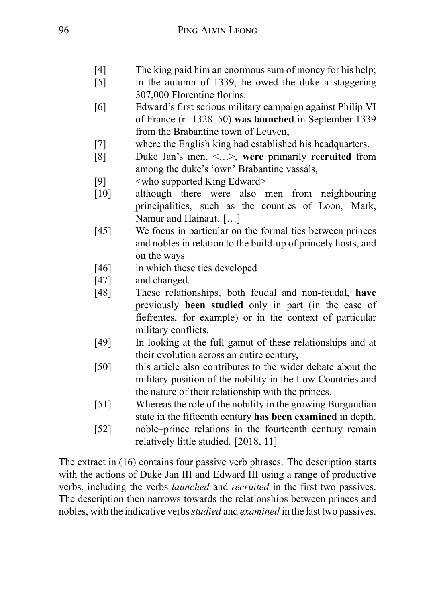- [4] The king paid him an enormous sum of money for his help;
- [5] in the autumn of 1339, he owed the duke a staggering 307,000 Florentine florins.
- [6] Edward's first serious military campaign against Philip VI of France (r. 1328–50) **was launched** in September 1339 from the Brabantine town of Leuven,
- [7] where the English king had established his headquarters.
- [8] Duke Jan's men, <…>, **were** primarily **recruited** from among the duke's 'own' Brabantine vassals,
- [9] <who supported King Edward>
- [10] although there were also men from neighbouring principalities, such as the counties of Loon, Mark, Namur and Hainaut. […]
- [45] We focus in particular on the formal ties between princes and nobles in relation to the build-up of princely hosts, and on the ways
- [46] in which these ties developed
- [47] and changed.
- [48] These relationships, both feudal and non-feudal, **have** previously **been studied** only in part (in the case of fiefrentes, for example) or in the context of particular military conflicts.
- [49] In looking at the full gamut of these relationships and at their evolution across an entire century,
- [50] this article also contributes to the wider debate about the military position of the nobility in the Low Countries and the nature of their relationship with the princes.
- [51] Whereas the role of the nobility in the growing Burgundian state in the fifteenth century **has been examined** in depth,
- [52] noble–prince relations in the fourteenth century remain relatively little studied. [2018, 11]

The extract in (16) contains four passive verb phrases. The description starts with the actions of Duke Jan III and Edward III using a range of productive verbs, including the verbs *launched* and *recruited* in the first two passives. The description then narrows towards the relationships between princes and nobles, with the indicative verbs*studied* and *examined* in the last two passives.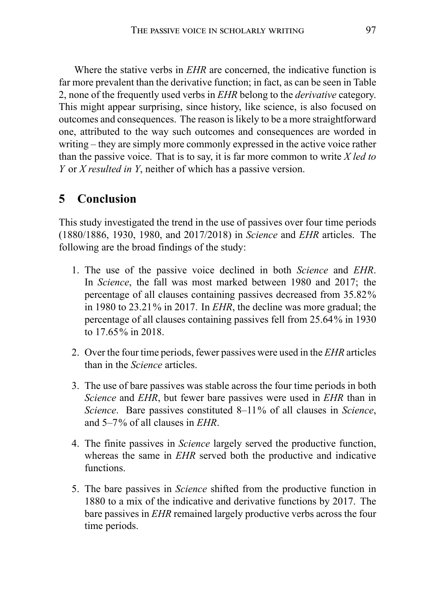Where the stative verbs in *EHR* are concerned, the indicative function is far more prevalent than the derivative function; in fact, as can be seen in Table 2, none of the frequently used verbs in *EHR* belong to the *derivative* category. This might appear surprising, since history, like science, is also focused on outcomes and consequences. The reason is likely to be a more straightforward one, attributed to the way such outcomes and consequences are worded in writing – they are simply more commonly expressed in the active voice rather than the passive voice. That is to say, it is far more common to write *X led to Y* or *X resulted in Y*, neither of which has a passive version.

# **5 Conclusion**

This study investigated the trend in the use of passives over four time periods (1880/1886, 1930, 1980, and 2017/2018) in *Science* and *EHR* articles. The following are the broad findings of the study:

- 1. The use of the passive voice declined in both *Science* and *EHR*. In *Science*, the fall was most marked between 1980 and 2017; the percentage of all clauses containing passives decreased from 35.82% in 1980 to 23.21% in 2017. In *EHR*, the decline was more gradual; the percentage of all clauses containing passives fell from 25.64% in 1930 to 17.65% in 2018.
- 2. Over the four time periods, fewer passives were used in the *EHR* articles than in the *Science* articles.
- 3. The use of bare passives was stable across the four time periods in both *Science* and *EHR*, but fewer bare passives were used in *EHR* than in *Science*. Bare passives constituted 8–11% of all clauses in *Science*, and 5–7% of all clauses in *EHR*.
- 4. The finite passives in *Science* largely served the productive function, whereas the same in *EHR* served both the productive and indicative functions.
- 5. The bare passives in *Science* shifted from the productive function in 1880 to a mix of the indicative and derivative functions by 2017. The bare passives in *EHR* remained largely productive verbs across the four time periods.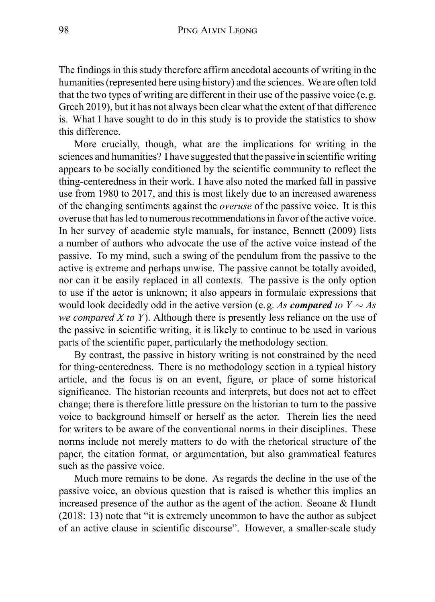The findings in this study therefore affirm anecdotal accounts of writing in the humanities (represented here using history) and the sciences. We are often told that the two types of writing are different in their use of the passive voice (e.g. Grech 2019), but it has not always been clear what the extent of that difference is. What I have sought to do in this study is to provide the statistics to show this difference.

More crucially, though, what are the implications for writing in the sciences and humanities? I have suggested that the passive in scientific writing appears to be socially conditioned by the scientific community to reflect the thing-centeredness in their work. I have also noted the marked fall in passive use from 1980 to 2017, and this is most likely due to an increased awareness of the changing sentiments against the *overuse* of the passive voice. It is this overuse that has led to numerous recommendations in favor of the active voice. In her survey of academic style manuals, for instance, Bennett (2009) lists a number of authors who advocate the use of the active voice instead of the passive. To my mind, such a swing of the pendulum from the passive to the active is extreme and perhaps unwise. The passive cannot be totally avoided, nor can it be easily replaced in all contexts. The passive is the only option to use if the actor is unknown; it also appears in formulaic expressions that would look decidedly odd in the active version (e.g. *As compared to Y ∼ As we compared X to Y*). Although there is presently less reliance on the use of the passive in scientific writing, it is likely to continue to be used in various parts of the scientific paper, particularly the methodology section.

By contrast, the passive in history writing is not constrained by the need for thing-centeredness. There is no methodology section in a typical history article, and the focus is on an event, figure, or place of some historical significance. The historian recounts and interprets, but does not act to effect change; there is therefore little pressure on the historian to turn to the passive voice to background himself or herself as the actor. Therein lies the need for writers to be aware of the conventional norms in their disciplines. These norms include not merely matters to do with the rhetorical structure of the paper, the citation format, or argumentation, but also grammatical features such as the passive voice.

Much more remains to be done. As regards the decline in the use of the passive voice, an obvious question that is raised is whether this implies an increased presence of the author as the agent of the action. Seoane & Hundt (2018: 13) note that "it is extremely uncommon to have the author as subject of an active clause in scientific discourse". However, a smaller-scale study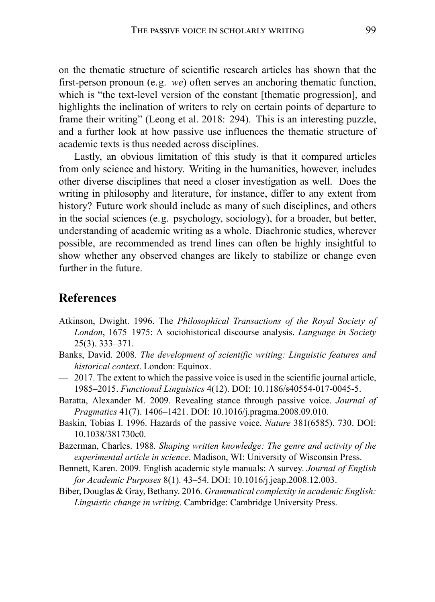on the thematic structure of scientific research articles has shown that the first-person pronoun (e.g. *we*) often serves an anchoring thematic function, which is "the text-level version of the constant [thematic progression], and highlights the inclination of writers to rely on certain points of departure to frame their writing" (Leong et al. 2018: 294). This is an interesting puzzle, and a further look at how passive use influences the thematic structure of academic texts is thus needed across disciplines.

Lastly, an obvious limitation of this study is that it compared articles from only science and history. Writing in the humanities, however, includes other diverse disciplines that need a closer investigation as well. Does the writing in philosophy and literature, for instance, differ to any extent from history? Future work should include as many of such disciplines, and others in the social sciences (e.g. psychology, sociology), for a broader, but better, understanding of academic writing as a whole. Diachronic studies, wherever possible, are recommended as trend lines can often be highly insightful to show whether any observed changes are likely to stabilize or change even further in the future.

## **References**

- Atkinson, Dwight. 1996. The *Philosophical Transactions of the Royal Society of London*, 1675–1975: A sociohistorical discourse analysis. *Language in Society* 25(3). 333–371.
- Banks, David. 2008*. The development of scientific writing: Linguistic features and historical context*. London: Equinox.
- 2017. The extent to which the passive voice is used in the scientific journal article, 1985–2015. *Functional Linguistics* 4(12). DOI: 10.1186/s40554-017-0045-5.
- Baratta, Alexander M. 2009. Revealing stance through passive voice. *Journal of Pragmatics* 41(7). 1406–1421. DOI: 10.1016/j.pragma.2008.09.010.
- Baskin, Tobias I. 1996. Hazards of the passive voice. *Nature* 381(6585). 730. DOI: 10.1038/381730c0.
- Bazerman, Charles. 1988*. Shaping written knowledge: The genre and activity of the experimental article in science*. Madison, WI: University of Wisconsin Press.
- Bennett, Karen. 2009. English academic style manuals: A survey. *Journal of English for Academic Purposes* 8(1). 43–54. DOI: 10.1016/j.jeap.2008.12.003.
- Biber, Douglas & Gray, Bethany. 2016*. Grammatical complexity in academic English: Linguistic change in writing*. Cambridge: Cambridge University Press.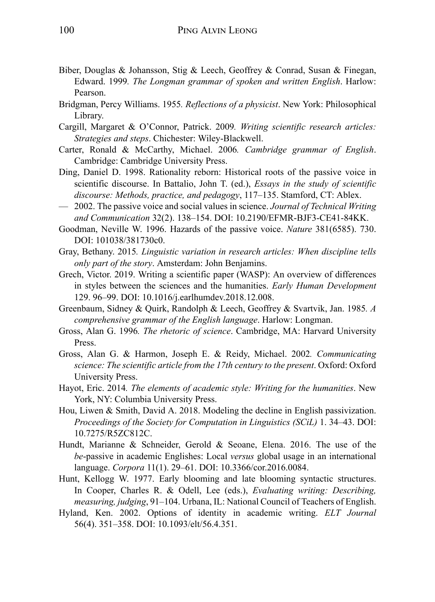- Biber, Douglas & Johansson, Stig & Leech, Geoffrey & Conrad, Susan & Finegan, Edward. 1999*. The Longman grammar of spoken and written English*. Harlow: Pearson.
- Bridgman, Percy Williams. 1955*. Reflections of a physicist*. New York: Philosophical Library.
- Cargill, Margaret & O'Connor, Patrick. 2009*. Writing scientific research articles: Strategies and steps*. Chichester: Wiley-Blackwell.
- Carter, Ronald & McCarthy, Michael. 2006*. Cambridge grammar of English*. Cambridge: Cambridge University Press.
- Ding, Daniel D. 1998. Rationality reborn: Historical roots of the passive voice in scientific discourse. In Battalio, John T. (ed.), *Essays in the study of scientific discourse: Methods, practice, and pedagogy*, 117–135. Stamford, CT: Ablex.
- 2002. The passive voice and social values in science. *Journal of Technical Writing and Communication* 32(2). 138–154. DOI: 10.2190/EFMR-BJF3-CE41-84KK.
- Goodman, Neville W. 1996. Hazards of the passive voice. *Nature* 381(6585). 730. DOI: 101038/381730c0.
- Gray, Bethany. 2015*. Linguistic variation in research articles: When discipline tells only part of the story*. Amsterdam: John Benjamins.
- Grech, Victor. 2019. Writing a scientific paper (WASP): An overview of differences in styles between the sciences and the humanities. *Early Human Development* 129. 96–99. DOI: 10.1016/j.earlhumdev.2018.12.008.
- Greenbaum, Sidney & Quirk, Randolph & Leech, Geoffrey & Svartvik, Jan. 1985*. A comprehensive grammar of the English language*. Harlow: Longman.
- Gross, Alan G. 1996*. The rhetoric of science*. Cambridge, MA: Harvard University Press.
- Gross, Alan G. & Harmon, Joseph E. & Reidy, Michael. 2002*. Communicating science: The scientific article from the 17th century to the present*. Oxford: Oxford University Press.
- Hayot, Eric. 2014*. The elements of academic style: Writing for the humanities*. New York, NY: Columbia University Press.
- Hou, Liwen & Smith, David A. 2018. Modeling the decline in English passivization. *Proceedings of the Society for Computation in Linguistics (SCiL)* 1. 34–43. DOI: 10.7275/R5ZC812C.
- Hundt, Marianne & Schneider, Gerold & Seoane, Elena. 2016. The use of the *be*-passive in academic Englishes: Local *versus* global usage in an international language. *Corpora* 11(1). 29–61. DOI: 10.3366/cor.2016.0084.
- Hunt, Kellogg W. 1977. Early blooming and late blooming syntactic structures. In Cooper, Charles R. & Odell, Lee (eds.), *Evaluating writing: Describing, measuring, judging*, 91–104. Urbana, IL: National Council of Teachers of English.
- Hyland, Ken. 2002. Options of identity in academic writing. *ELT Journal* 56(4). 351–358. DOI: 10.1093/elt/56.4.351.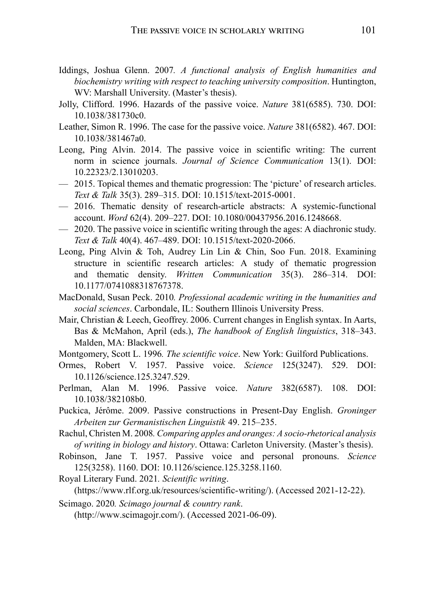- Iddings, Joshua Glenn. 2007*. A functional analysis of English humanities and biochemistry writing with respect to teaching university composition*. Huntington, WV: Marshall University. (Master's thesis).
- Jolly, Clifford. 1996. Hazards of the passive voice. *Nature* 381(6585). 730. DOI: 10.1038/381730c0.
- Leather, Simon R. 1996. The case for the passive voice. *Nature* 381(6582). 467. DOI: 10.1038/381467a0.
- Leong, Ping Alvin. 2014. The passive voice in scientific writing: The current norm in science journals. *Journal of Science Communication* 13(1). DOI: 10.22323/2.13010203.
- 2015. Topical themes and thematic progression: The 'picture' of research articles. *Text & Talk* 35(3). 289–315. DOI: 10.1515/text-2015-0001.
- 2016. Thematic density of research-article abstracts: A systemic-functional account. *Word* 62(4). 209–227. DOI: 10.1080/00437956.2016.1248668.
- 2020. The passive voice in scientific writing through the ages: A diachronic study. *Text & Talk* 40(4). 467–489. DOI: 10.1515/text-2020-2066.
- Leong, Ping Alvin & Toh, Audrey Lin Lin & Chin, Soo Fun. 2018. Examining structure in scientific research articles: A study of thematic progression and thematic density. *Written Communication* 35(3). 286–314. DOI: 10.1177/0741088318767378.
- MacDonald, Susan Peck. 2010*. Professional academic writing in the humanities and social sciences*. Carbondale, IL: Southern Illinois University Press.
- Mair, Christian & Leech, Geoffrey. 2006. Current changes in English syntax. In Aarts, Bas & McMahon, April (eds.), *The handbook of English linguistics*, 318–343. Malden, MA: Blackwell.
- Montgomery, Scott L. 1996*. The scientific voice*. New York: Guilford Publications.
- Ormes, Robert V. 1957. Passive voice. *Science* 125(3247). 529. DOI: 10.1126/science.125.3247.529.
- Perlman, Alan M. 1996. Passive voice. *Nature* 382(6587). 108. DOI: 10.1038/382108b0.
- Puckica, Jérôme. 2009. Passive constructions in Present-Day English. *Groninger Arbeiten zur Germanistischen Linguistik* 49. 215–235.
- Rachul, Christen M. 2008*. Comparing apples and oranges: A socio-rhetorical analysis of writing in biology and history*. Ottawa: Carleton University. (Master's thesis).
- Robinson, Jane T. 1957. Passive voice and personal pronouns. *Science* 125(3258). 1160. DOI: 10.1126/science.125.3258.1160.
- Royal Literary Fund. 2021*. Scientific writing*.

(https://www.rlf.org.uk/resources/scientific-writing/). (Accessed 2021-12-22).

Scimago. 2020*. Scimago journal & country rank*.

(http://www.scimagojr.com/). (Accessed 2021-06-09).